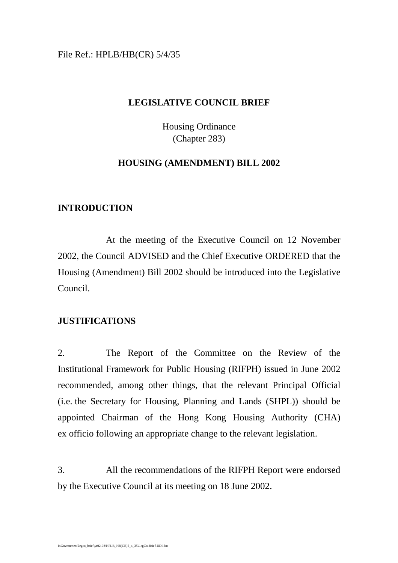# File Ref.: HPLB/HB(CR) 5/4/35

## **LEGISLATIVE COUNCIL BRIEF**

Housing Ordinance (Chapter 283)

# **HOUSING (AMENDMENT) BILL 2002**

# **INTRODUCTION**

At the meeting of the Executive Council on 12 November 2002, the Council ADVISED and the Chief Executive ORDERED that the Housing (Amendment) Bill 2002 should be introduced into the Legislative Council.

# **JUSTIFICATIONS**

2. The Report of the Committee on the Review of the Institutional Framework for Public Housing (RIFPH) issued in June 2002 recommended, among other things, that the relevant Principal Official (i.e. the Secretary for Housing, Planning and Lands (SHPL)) should be appointed Chairman of the Hong Kong Housing Authority (CHA) ex officio following an appropriate change to the relevant legislation.

3. All the recommendations of the RIFPH Report were endorsed by the Executive Council at its meeting on 18 June 2002.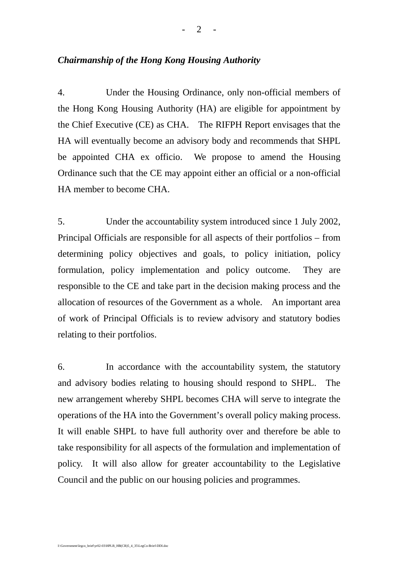## *Chairmanship of the Hong Kong Housing Authority*

4. Under the Housing Ordinance, only non-official members of the Hong Kong Housing Authority (HA) are eligible for appointment by the Chief Executive (CE) as CHA. The RIFPH Report envisages that the HA will eventually become an advisory body and recommends that SHPL be appointed CHA ex officio. We propose to amend the Housing Ordinance such that the CE may appoint either an official or a non-official HA member to become CHA.

5. Under the accountability system introduced since 1 July 2002, Principal Officials are responsible for all aspects of their portfolios – from determining policy objectives and goals, to policy initiation, policy formulation, policy implementation and policy outcome. They are responsible to the CE and take part in the decision making process and the allocation of resources of the Government as a whole. An important area of work of Principal Officials is to review advisory and statutory bodies relating to their portfolios.

6. In accordance with the accountability system, the statutory and advisory bodies relating to housing should respond to SHPL. The new arrangement whereby SHPL becomes CHA will serve to integrate the operations of the HA into the Government's overall policy making process. It will enable SHPL to have full authority over and therefore be able to take responsibility for all aspects of the formulation and implementation of policy. It will also allow for greater accountability to the Legislative Council and the public on our housing policies and programmes.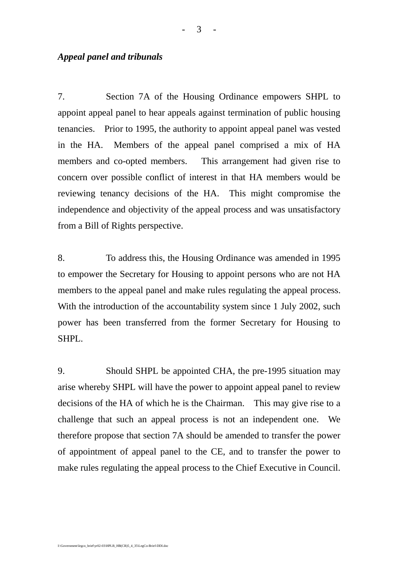### *Appeal panel and tribunals*

7. Section 7A of the Housing Ordinance empowers SHPL to appoint appeal panel to hear appeals against termination of public housing tenancies. Prior to 1995, the authority to appoint appeal panel was vested in the HA. Members of the appeal panel comprised a mix of HA members and co-opted members. This arrangement had given rise to concern over possible conflict of interest in that HA members would be reviewing tenancy decisions of the HA. This might compromise the independence and objectivity of the appeal process and was unsatisfactory from a Bill of Rights perspective.

8. To address this, the Housing Ordinance was amended in 1995 to empower the Secretary for Housing to appoint persons who are not HA members to the appeal panel and make rules regulating the appeal process. With the introduction of the accountability system since 1 July 2002, such power has been transferred from the former Secretary for Housing to SHPL.

9. Should SHPL be appointed CHA, the pre-1995 situation may arise whereby SHPL will have the power to appoint appeal panel to review decisions of the HA of which he is the Chairman. This may give rise to a challenge that such an appeal process is not an independent one. We therefore propose that section 7A should be amended to transfer the power of appointment of appeal panel to the CE, and to transfer the power to make rules regulating the appeal process to the Chief Executive in Council.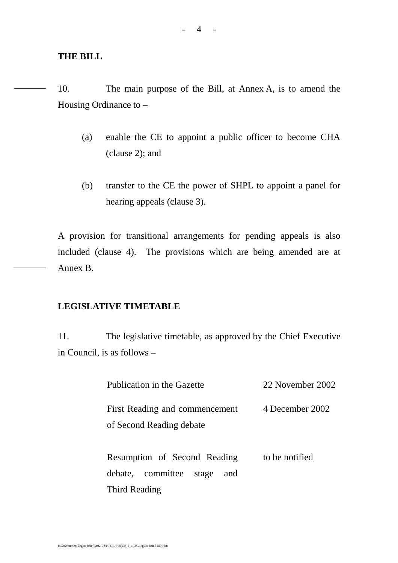## **THE BILL**

10. The main purpose of the Bill, at Annex A, is to amend the Housing Ordinance to –

- (a) enable the CE to appoint a public officer to become CHA (clause 2); and
- (b) transfer to the CE the power of SHPL to appoint a panel for hearing appeals (clause 3).

A provision for transitional arrangements for pending appeals is also included (clause 4). The provisions which are being amended are at Annex B.

## **LEGISLATIVE TIMETABLE**

11. The legislative timetable, as approved by the Chief Executive in Council, is as follows –

| Publication in the Gazette                                           | 22 November 2002 |
|----------------------------------------------------------------------|------------------|
| First Reading and commencement<br>of Second Reading debate           | 4 December 2002  |
| Resumption of Second Reading<br>committee<br>debate,<br>stage<br>and | to be notified   |
| Third Reading                                                        |                  |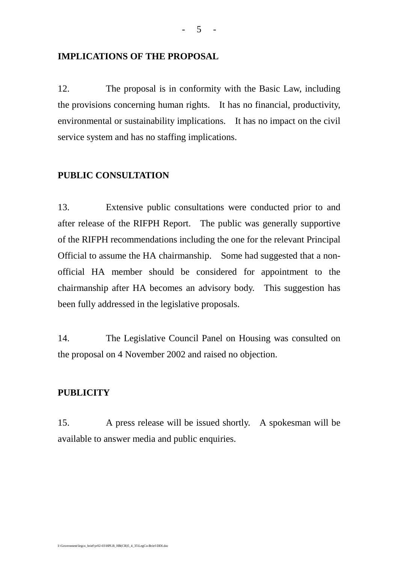### **IMPLICATIONS OF THE PROPOSAL**

12. The proposal is in conformity with the Basic Law, including the provisions concerning human rights. It has no financial, productivity, environmental or sustainability implications. It has no impact on the civil service system and has no staffing implications.

### **PUBLIC CONSULTATION**

13. Extensive public consultations were conducted prior to and after release of the RIFPH Report. The public was generally supportive of the RIFPH recommendations including the one for the relevant Principal Official to assume the HA chairmanship. Some had suggested that a nonofficial HA member should be considered for appointment to the chairmanship after HA becomes an advisory body. This suggestion has been fully addressed in the legislative proposals.

14. The Legislative Council Panel on Housing was consulted on the proposal on 4 November 2002 and raised no objection.

# **PUBLICITY**

15. A press release will be issued shortly. A spokesman will be available to answer media and public enquiries.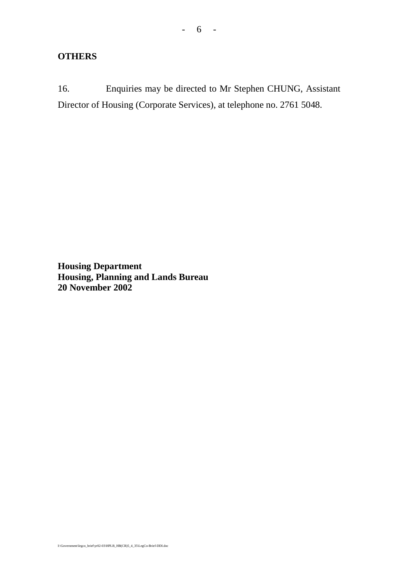# **OTHERS**

16. Enquiries may be directed to Mr Stephen CHUNG, Assistant Director of Housing (Corporate Services), at telephone no. 2761 5048.

**Housing Department Housing, Planning and Lands Bureau 20 November 2002**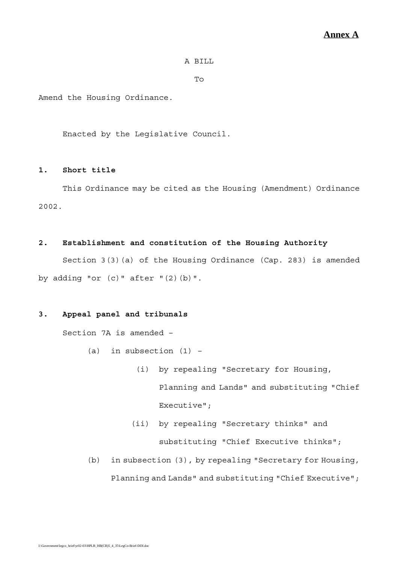#### A BILL

 $To$ 

Amend the Housing Ordinance.

Enacted by the Legislative Council.

#### **1. Short title**

This Ordinance may be cited as the Housing (Amendment) Ordinance 2002.

#### **2. Establishment and constitution of the Housing Authority**

Section 3(3)(a) of the Housing Ordinance (Cap. 283) is amended by adding "or  $(c)$ " after " $(2)$  $(b)$ ".

#### **3. Appeal panel and tribunals**

Section 7A is amended –

- $(a)$  in subsection  $(1)$  -
	- (i) by repealing "Secretary for Housing, Planning and Lands" and substituting "Chief Executive";
	- (ii) by repealing "Secretary thinks" and substituting "Chief Executive thinks";
- (b) in subsection (3), by repealing "Secretary for Housing, Planning and Lands" and substituting "Chief Executive";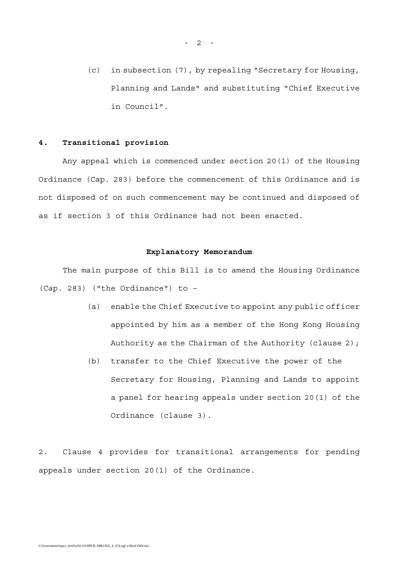(c) in subsection (7), by repealing "Secretary for Housing, Planning and Lands" and substituting "Chief Executive in Council".

#### **4. Transitional provision**

Any appeal which is commenced under section 20(1) of the Housing Ordinance (Cap. 283) before the commencement of this Ordinance and is not disposed of on such commencement may be continued and disposed of as if section 3 of this Ordinance had not been enacted.

#### **Explanatory Memorandum**

The main purpose of this Bill is to amend the Housing Ordinance (Cap. 283) ("the Ordinance") to –

- (a) enable the Chief Executive to appoint any public officer appointed by him as a member of the Hong Kong Housing Authority as the Chairman of the Authority (clause 2);
- (b) transfer to the Chief Executive the power of the Secretary for Housing, Planning and Lands to appoint a panel for hearing appeals under section 20(1) of the Ordinance (clause 3).

2. Clause 4 provides for transitional arrangements for pending appeals under section 20(1) of the Ordinance.

 $- 2 - -$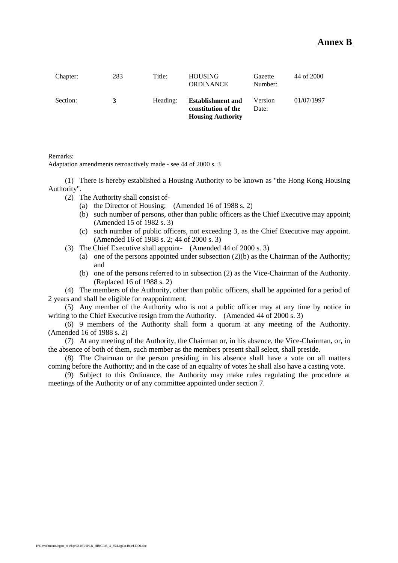#### **Annex B**

| Chapter: | 283 | Title:   | <b>HOUSING</b><br><b>ORDINANCE</b>                                          | Gazette<br>Number: | 44 of 2000 |
|----------|-----|----------|-----------------------------------------------------------------------------|--------------------|------------|
| Section: | 3   | Heading: | <b>Establishment and</b><br>constitution of the<br><b>Housing Authority</b> | Version<br>Date:   | 01/07/1997 |

Remarks:

Adaptation amendments retroactively made - see 44 of 2000 s. 3

(1) There is hereby established a Housing Authority to be known as "the Hong Kong Housing Authority".

- (2) The Authority shall consist of-
	- (a) the Director of Housing; (Amended 16 of 1988 s. 2)
	- (b) such number of persons, other than public officers as the Chief Executive may appoint; (Amended 15 of 1982 s. 3)
	- (c) such number of public officers, not exceeding 3, as the Chief Executive may appoint. (Amended 16 of 1988 s. 2; 44 of 2000 s. 3)
- (3) The Chief Executive shall appoint- (Amended 44 of 2000 s. 3)
	- (a) one of the persons appointed under subsection  $(2)(b)$  as the Chairman of the Authority; and
	- (b) one of the persons referred to in subsection (2) as the Vice-Chairman of the Authority. (Replaced 16 of 1988 s. 2)

(4) The members of the Authority, other than public officers, shall be appointed for a period of 2 years and shall be eligible for reappointment.

(5) Any member of the Authority who is not a public officer may at any time by notice in writing to the Chief Executive resign from the Authority. (Amended 44 of 2000 s. 3)

(6) 9 members of the Authority shall form a quorum at any meeting of the Authority. (Amended 16 of 1988 s. 2)

(7) At any meeting of the Authority, the Chairman or, in his absence, the Vice-Chairman, or, in the absence of both of them, such member as the members present shall select, shall preside.

(8) The Chairman or the person presiding in his absence shall have a vote on all matters coming before the Authority; and in the case of an equality of votes he shall also have a casting vote.

(9) Subject to this Ordinance, the Authority may make rules regulating the procedure at meetings of the Authority or of any committee appointed under section 7.